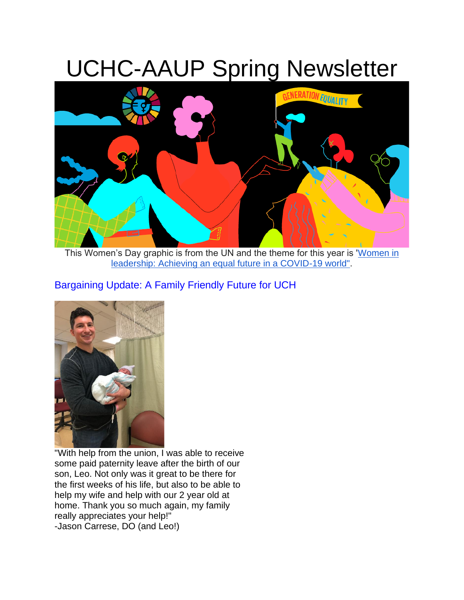# UCHC-AAUP Spring Newsletter



This Women's Day graphic is from the UN and the theme for this year is ['Women in](https://www.unwomen.org/en/news/stories/2020/11/announcer-international-womens-day-2021)  [leadership: Achieving an equal future in a COVID-19 world".](https://www.unwomen.org/en/news/stories/2020/11/announcer-international-womens-day-2021)

# Bargaining Update: A Family Friendly Future for UCH



"With help from the union, I was able to receive some paid paternity leave after the birth of our son, Leo. Not only was it great to be there for the first weeks of his life, but also to be able to help my wife and help with our 2 year old at home. Thank you so much again, my family really appreciates your help!" -Jason Carrese, DO (and Leo!)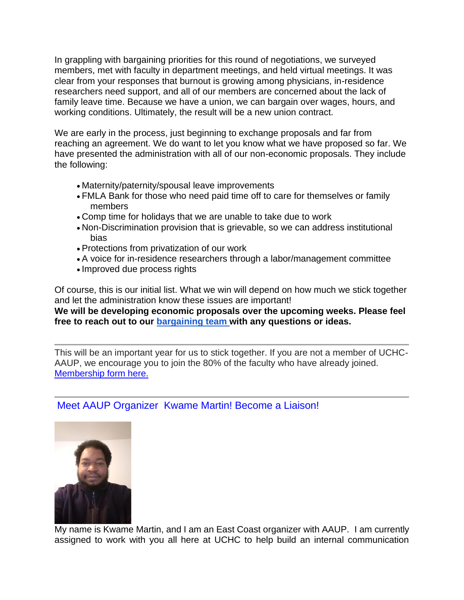In grappling with bargaining priorities for this round of negotiations, we surveyed members, met with faculty in department meetings, and held virtual meetings. It was clear from your responses that burnout is growing among physicians, in-residence researchers need support, and all of our members are concerned about the lack of family leave time. Because we have a union, we can bargain over wages, hours, and working conditions. Ultimately, the result will be a new union contract.

We are early in the process, just beginning to exchange proposals and far from reaching an agreement. We do want to let you know what we have proposed so far. We have presented the administration with all of our non-economic proposals. They include the following:

- Maternity/paternity/spousal leave improvements
- FMLA Bank for those who need paid time off to care for themselves or family members
- Comp time for holidays that we are unable to take due to work
- Non-Discrimination provision that is grievable, so we can address institutional bias
- Protections from privatization of our work
- A voice for in-residence researchers through a labor/management committee
- Improved due process rights

Of course, this is our initial list. What we win will depend on how much we stick together and let the administration know these issues are important! **We will be developing economic proposals over the upcoming weeks. Please feel** 

**free to reach out to our [bargaining team w](https://www.uchc-aaup.org/officers-representatives/)ith any questions or ideas.**

This will be an important year for us to stick together. If you are not a member of UCHC-AAUP, we encourage you to join the 80% of the faculty who have already joined. [Membership form here.](https://www.uchc-aaup.org/wp-content/uploads/2020/06/new-membership-card-final-2018-3.pdf)

## Meet AAUP Organizer Kwame Martin! Become a Liaison!



My name is Kwame Martin, and I am an East Coast organizer with AAUP. I am currently assigned to work with you all here at UCHC to help build an internal communication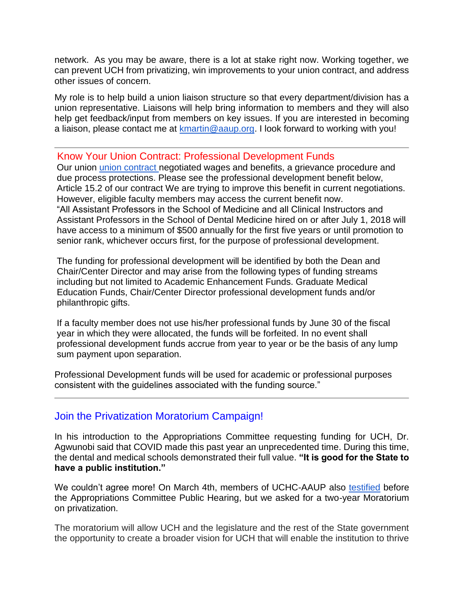network. As you may be aware, there is a lot at stake right now. Working together, we can prevent UCH from privatizing, win improvements to your union contract, and address other issues of concern.

My role is to help build a union liaison structure so that every department/division has a union representative. Liaisons will help bring information to members and they will also help get feedback/input from members on key issues. If you are interested in becoming a liaison, please contact me at [kmartin@aaup.org.](mailto:kmartin@aaup.org) I look forward to working with you!

### Know Your Union Contract: Professional Development Funds

Our union [union contract n](https://www.uchc-aaup.org/wp-content/uploads/2017/10/Collective-Bargaining-Agreement-7.1.16-6.30.21.pdf)egotiated wages and benefits, a grievance procedure and due process protections. Please see the professional development benefit below, Article 15.2 of our contract We are trying to improve this benefit in current negotiations. However, eligible faculty members may access the current benefit now. "All Assistant Professors in the School of Medicine and all Clinical Instructors and Assistant Professors in the School of Dental Medicine hired on or after July 1, 2018 will have access to a minimum of \$500 annually for the first five years or until promotion to senior rank, whichever occurs first, for the purpose of professional development.

The funding for professional development will be identified by both the Dean and Chair/Center Director and may arise from the following types of funding streams including but not limited to Academic Enhancement Funds. Graduate Medical Education Funds, Chair/Center Director professional development funds and/or philanthropic gifts.

If a faculty member does not use his/her professional funds by June 30 of the fiscal year in which they were allocated, the funds will be forfeited. In no event shall professional development funds accrue from year to year or be the basis of any lump sum payment upon separation.

Professional Development funds will be used for academic or professional purposes consistent with the guidelines associated with the funding source."

## Join the Privatization Moratorium Campaign!

In his introduction to the Appropriations Committee requesting funding for UCH, Dr. Agwunobi said that COVID made this past year an unprecedented time. During this time, the dental and medical schools demonstrated their full value. **"It is good for the State to have a public institution."**

We couldn't agree more! On March 4th, members of UCHC-AAUP also [testified](https://www.uchc-aaup.org/wp-content/uploads/2021/03/March-4-2021-Testimony-Final.pdf) before the Appropriations Committee Public Hearing, but we asked for a two-year Moratorium on privatization.

The moratorium will allow UCH and the legislature and the rest of the State government the opportunity to create a broader vision for UCH that will enable the institution to thrive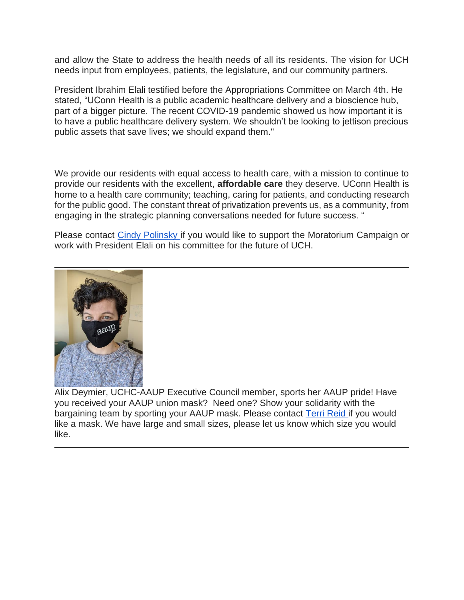and allow the State to address the health needs of all its residents. The vision for UCH needs input from employees, patients, the legislature, and our community partners.

President Ibrahim Elali testified before the Appropriations Committee on March 4th. He stated, "UConn Health is a public academic healthcare delivery and a bioscience hub, part of a bigger picture. The recent COVID-19 pandemic showed us how important it is to have a public healthcare delivery system. We shouldn't be looking to jettison precious public assets that save lives; we should expand them."

We provide our residents with equal access to health care, with a mission to continue to provide our residents with the excellent, **affordable care** they deserve. UConn Health is home to a health care community; teaching, caring for patients, and conducting research for the public good. The constant threat of privatization prevents us, as a community, from engaging in the strategic planning conversations needed for future success. "

Please contact [Cindy Polinsky i](mailto:executive.director@uchc-aaup.org)f you would like to support the Moratorium Campaign or work with President Elali on his committee for the future of UCH.



Alix Deymier, UCHC-AAUP Executive Council member, sports her AAUP pride! Have you received your AAUP union mask? Need one? Show your solidarity with the bargaining team by sporting your AAUP mask. Please contact [Terri Reid i](mailto:admin@uchc-aaup.org)f you would like a mask. We have large and small sizes, please let us know which size you would like.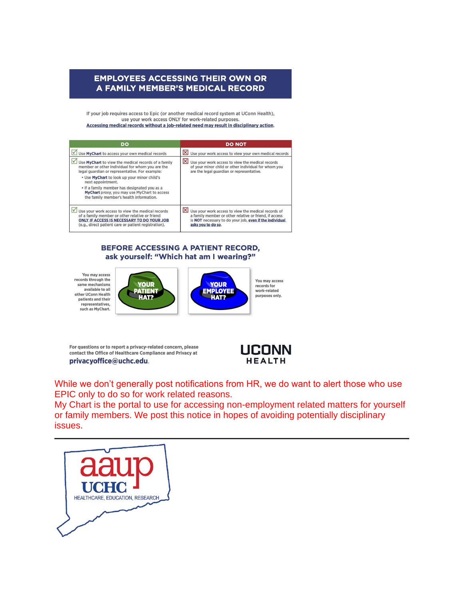#### **EMPLOYEES ACCESSING THEIR OWN OR** A FAMILY MEMBER'S MEDICAL RECORD

If your job requires access to Epic (or another medical record system at UConn Health), use your work access ONLY for work-related purposes. Accessing medical records without a job-related need may result in disciplinary action.

| DO                                                                                                                                                                                                       | <b>DO NOT</b>                                                                                                                                                                                  |
|----------------------------------------------------------------------------------------------------------------------------------------------------------------------------------------------------------|------------------------------------------------------------------------------------------------------------------------------------------------------------------------------------------------|
| Use MyChart to access your own medical records                                                                                                                                                           | $\mathbb{X}$ Use your work access to view your own medical records                                                                                                                             |
| Use MyChart to view the medical records of a family<br>member or other individual for whom you are the<br>legal quardian or representative. For example:                                                 | $\vert\mathsf{x}\vert$<br>Use your work access to view the medical records<br>of your minor child or other individual for whom you<br>are the legal quardian or representative.                |
| . Use MyChart to look up your minor child's<br>next appointment.                                                                                                                                         |                                                                                                                                                                                                |
| . If a family member has designated you as a<br>MyChart proxy, you may use MyChart to access<br>the family member's health information.                                                                  |                                                                                                                                                                                                |
| Use your work access to view the medical records<br>of a family member or other relative or friend<br>ONLY IF ACCESS IS NECESSARY TO DO YOUR JOB<br>(e.g., direct patient care or patient registration). | Use your work access to view the medical records of<br>a family member or other relative or friend, if access<br>is NOT necessary to do your job, even if the individual<br>asks you to do so. |

#### BEFORE ACCESSING A PATIENT RECORD, ask yourself: "Which hat am I wearing?"

You may access records through the<br>same mechanisms available to all other UConn Health patients and their representatives, such as MyChart.



You may access records for work-related purposes only.

For questions or to report a privacy-related concern, please contact the Office of Healthcare Compliance and Privacy at privacyoffice@uchc.edu.



While we don't generally post notifications from HR, we do want to alert those who use EPIC only to do so for work related reasons.

**YOUR** 

EMPLOYEE

HAT?

My Chart is the portal to use for accessing non-employment related matters for yourself or family members. We post this notice in hopes of avoiding potentially disciplinary issues.